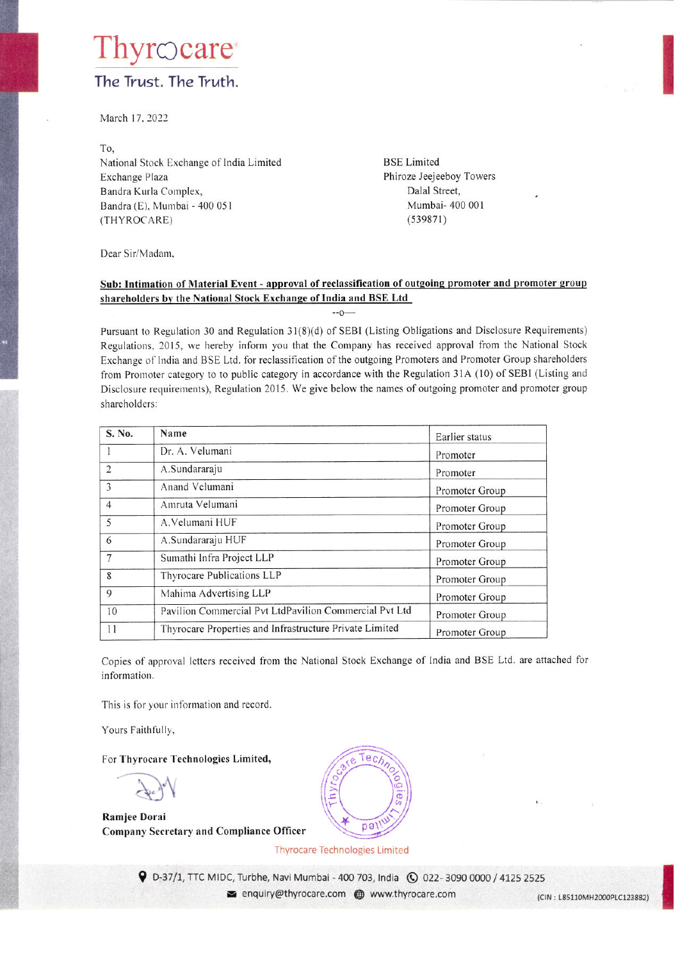# rocare The Trust. The Truth.

March 17, 2022

To. National Stock Exchange of India Limited Exchange Plaza Bandra Kurla Complex, Bandra (E), Mumbai - 400 051 (THYROCARE)

**BSE** Limited Phiroze Jeejeeboy Towers Dalal Street, Mumbai- 400 001  $(539871)$ 

Dear Sir/Madam,

#### Sub: Intimation of Material Event - approval of reclassification of outgoing promoter and promoter group shareholders by the National Stock Exchange of India and BSE Ltd

 $-0$ 

Pursuant to Regulation 30 and Regulation 31(8)(d) of SEBI (Listing Obligations and Disclosure Requirements) Regulations, 2015, we hereby inform you that the Company has received approval from the National Stock Exchange of India and BSE Ltd. for reclassification of the outgoing Promoters and Promoter Group shareholders from Promoter category to to public category in accordance with the Regulation 31A (10) of SEBI (Listing and Disclosure requirements), Regulation 2015. We give below the names of outgoing promoter and promoter group shareholders:

| S. No.         | Name                                                    | Earlier status |
|----------------|---------------------------------------------------------|----------------|
|                | Dr. A. Velumani                                         | Promoter       |
| $\overline{2}$ | A.Sundararaju                                           | Promoter       |
| 3              | Anand Velumani                                          | Promoter Group |
| $\overline{4}$ | Amruta Velumani                                         | Promoter Group |
| 5              | A. Velumani HUF                                         | Promoter Group |
| 6              | A.Sundararaju HUF                                       | Promoter Group |
| $\overline{7}$ | Sumathi Infra Project LLP                               | Promoter Group |
| 8              | Thyrocare Publications LLP                              | Promoter Group |
| 9              | Mahima Advertising LLP                                  | Promoter Group |
| 10             | Pavilion Commercial Pvt LtdPavilion Commercial Pvt Ltd  | Promoter Group |
| 11             | Thyrocare Properties and Infrastructure Private Limited | Promoter Group |

Copies of approval letters received from the National Stock Exchange of India and BSE Ltd. are attached for information.

This is for your information and record.

Yours Faithfully,

For Thyrocare Technologies Limited,

**Ramjee Dorai Company Secretary and Compliance Officer** 



**Thyrocare Technologies Limited** 

9 D-37/1, TTC MIDC, Turbhe, Navi Mumbai - 400 703, India ( 0 022-3090 0000 / 4125 2525 enquiry@thyrocare.com @ www.thyrocare.com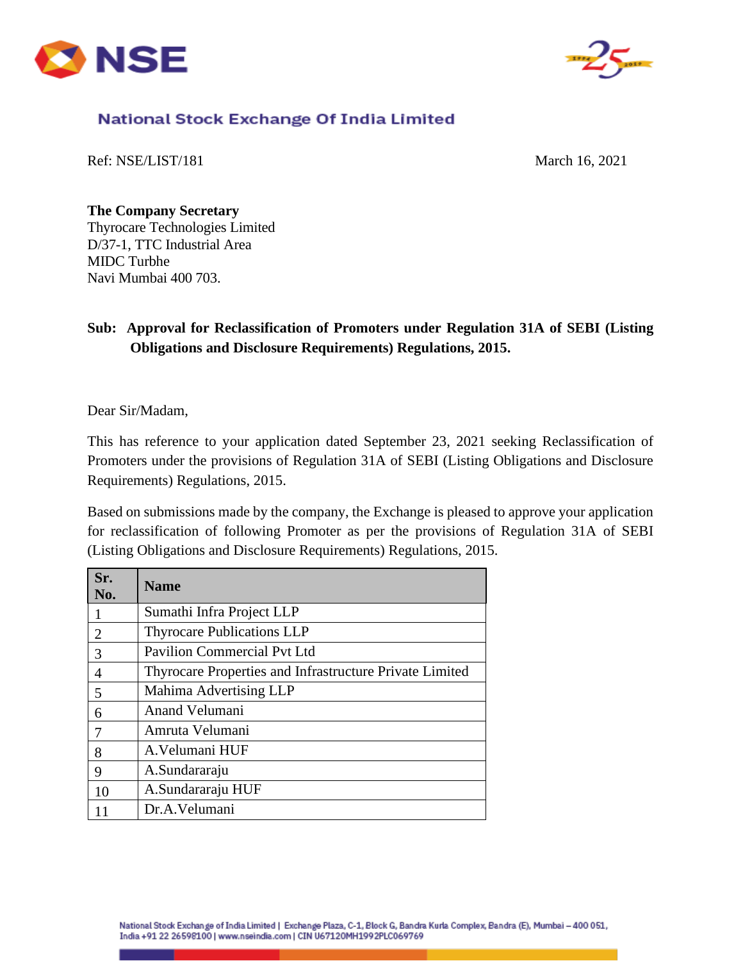



## National Stock Exchange Of India Limited

Ref: NSE/LIST/181 March 16, 2021

**The Company Secretary**  Thyrocare Technologies Limited D/37-1, TTC Industrial Area MIDC Turbhe Navi Mumbai 400 703.

### **Sub: Approval for Reclassification of Promoters under Regulation 31A of SEBI (Listing Obligations and Disclosure Requirements) Regulations, 2015.**

Dear Sir/Madam,

This has reference to your application dated September 23, 2021 seeking Reclassification of Promoters under the provisions of Regulation 31A of SEBI (Listing Obligations and Disclosure Requirements) Regulations, 2015.

Based on submissions made by the company, the Exchange is pleased to approve your application for reclassification of following Promoter as per the provisions of Regulation 31A of SEBI (Listing Obligations and Disclosure Requirements) Regulations, 2015.

| Sr.<br>No.                  | <b>Name</b>                                             |
|-----------------------------|---------------------------------------------------------|
|                             | Sumathi Infra Project LLP                               |
| $\mathcal{D}_{\mathcal{A}}$ | <b>Thyrocare Publications LLP</b>                       |
| 3                           | <b>Pavilion Commercial Pyt Ltd</b>                      |
| 4                           | Thyrocare Properties and Infrastructure Private Limited |
| 5                           | Mahima Advertising LLP                                  |
| 6                           | Anand Velumani                                          |
|                             | Amruta Velumani                                         |
| 8                           | A. Velumani HUF                                         |
| 9                           | A.Sundararaju                                           |
| 10                          | A.Sundararaju HUF                                       |
|                             | Dr.A.Velumani                                           |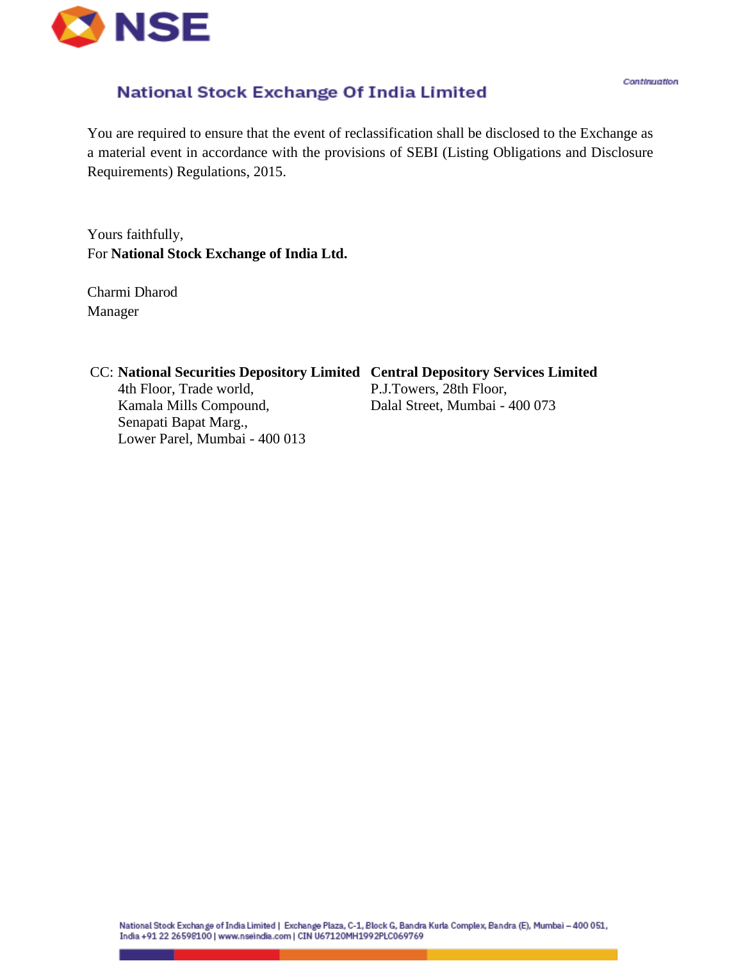

## National Stock Exchange Of India Limited

You are required to ensure that the event of reclassification shall be disclosed to the Exchange as a material event in accordance with the provisions of SEBI (Listing Obligations and Disclosure Requirements) Regulations, 2015.

Yours faithfully, For **National Stock Exchange of India Ltd.**

Charmi Dharod Manager

| CC: National Securities Depository Limited Central Depository Services Limited |                                |
|--------------------------------------------------------------------------------|--------------------------------|
| 4th Floor, Trade world,                                                        | P.J.Towers, 28th Floor,        |
| Kamala Mills Compound,                                                         | Dalal Street, Mumbai - 400 073 |
| Senapati Bapat Marg.,                                                          |                                |
| Lower Parel, Mumbai - 400 013                                                  |                                |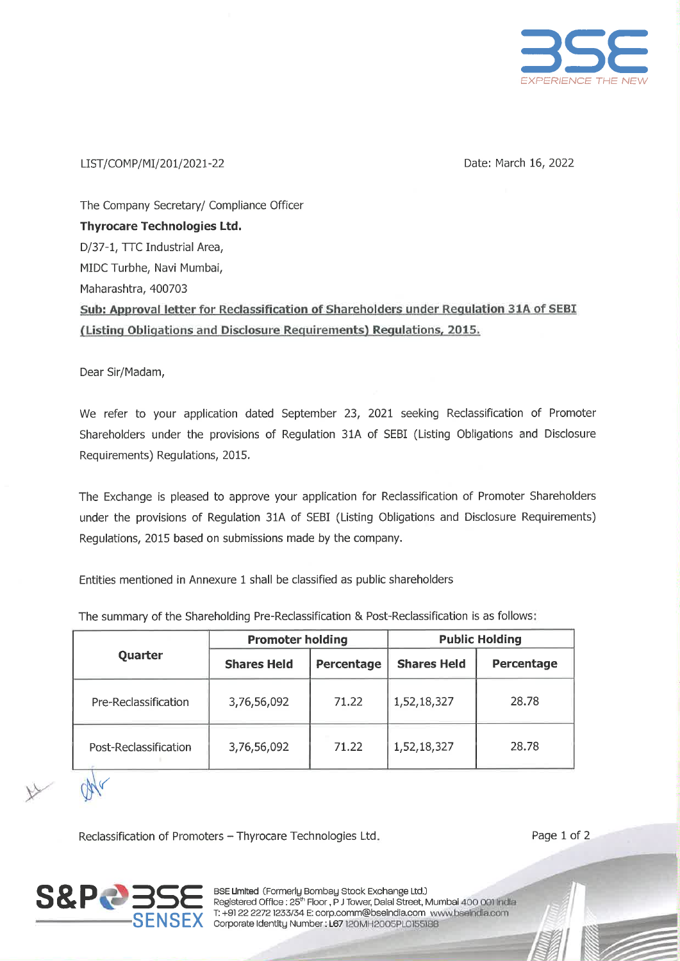

#### LIST/COMP/MI/201/2021-22

Date: March 16, 2022

The Company Secretary/ Compliance Officer **Thyrocare Technologies Ltd.** D/37-1, TTC Industrial Area, MIDC Turbhe, Navi Mumbai, Maharashtra, 400703 Sub: Approval letter for Reclassification of Shareholders under Regulation 31A of SEBI (Listing Obligations and Disclosure Requirements) Regulations, 2015.

Dear Sir/Madam,

We refer to your application dated September 23, 2021 seeking Reclassification of Promoter Shareholders under the provisions of Regulation 31A of SEBI (Listing Obligations and Disclosure Requirements) Regulations, 2015.

The Exchange is pleased to approve your application for Reclassification of Promoter Shareholders under the provisions of Regulation 31A of SEBI (Listing Obligations and Disclosure Requirements) Regulations, 2015 based on submissions made by the company.

Entities mentioned in Annexure 1 shall be classified as public shareholders

|                       | <b>Promoter holding</b> |            |                    | <b>Public Holding</b> |
|-----------------------|-------------------------|------------|--------------------|-----------------------|
| Quarter               | <b>Shares Held</b>      | Percentage | <b>Shares Held</b> | Percentage            |
| Pre-Reclassification  | 3,76,56,092             | 71.22      | 1,52,18,327        | 28.78                 |
| Post-Reclassification | 3,76,56,092             | 71.22      | 1,52,18,327        | 28.78                 |

The summary of the Shareholding Pre-Reclassification & Post-Reclassification is as follows:

Reclassification of Promoters - Thyrocare Technologies Ltd.



BSE Limited (Formerly Bombay Stock Exchange Ltd.) Registered Office : 25<sup>th</sup> Floor, P J Tower, Dalal Street, Mumbai 400 001 India<br>T: +91 22 2272 1233/34 E: corp.comm@bseindia.com www.bseindia.com SENSEX Corporate Identity Number : L67 120MH2005PL0155188

Page 1 of 2